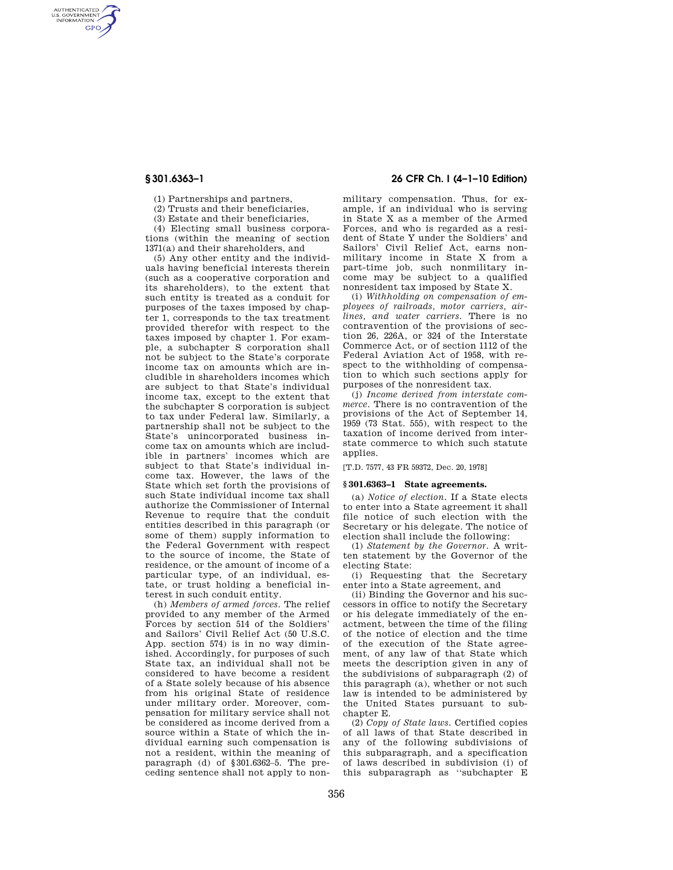AUTHENTICATED<br>U.S. GOVERNMENT<br>INFORMATION **GPO** 

(1) Partnerships and partners,

(2) Trusts and their beneficiaries,

(3) Estate and their beneficiaries,

(4) Electing small business corporations (within the meaning of section 1371(a) and their shareholders, and

(5) Any other entity and the individuals having beneficial interests therein (such as a cooperative corporation and its shareholders), to the extent that such entity is treated as a conduit for purposes of the taxes imposed by chapter 1, corresponds to the tax treatment provided therefor with respect to the taxes imposed by chapter 1. For example, a subchapter S corporation shall not be subject to the State's corporate income tax on amounts which are includible in shareholders incomes which are subject to that State's individual income tax, except to the extent that the subchapter S corporation is subject to tax under Federal law. Similarly, a partnership shall not be subject to the State's unincorporated business income tax on amounts which are includible in partners' incomes which are subject to that State's individual income tax. However, the laws of the State which set forth the provisions of such State individual income tax shall authorize the Commissioner of Internal Revenue to require that the conduit entities described in this paragraph (or some of them) supply information to the Federal Government with respect to the source of income, the State of residence, or the amount of income of a particular type, of an individual, estate, or trust holding a beneficial interest in such conduit entity.

(h) *Members of armed forces.* The relief provided to any member of the Armed Forces by section 514 of the Soldiers' and Sailors' Civil Relief Act (50 U.S.C. App. section 574) is in no way diminished. Accordingly, for purposes of such State tax, an individual shall not be considered to have become a resident of a State solely because of his absence from his original State of residence under military order. Moreover, compensation for military service shall not be considered as income derived from a source within a State of which the individual earning such compensation is not a resident, within the meaning of paragraph (d) of §301.6362–5. The preceding sentence shall not apply to non-

# **§ 301.6363–1 26 CFR Ch. I (4–1–10 Edition)**

military compensation. Thus, for example, if an individual who is serving in State X as a member of the Armed Forces, and who is regarded as a resident of State Y under the Soldiers' and Sailors' Civil Relief Act, earns nonmilitary income in State X from a part-time job, such nonmilitary income may be subject to a qualified nonresident tax imposed by State X.

(i) *Withholding on compensation of employees of railroads, motor carriers, airlines, and water carriers.* There is no contravention of the provisions of section 26, 226A, or 324 of the Interstate Commerce Act, or of section 1112 of the Federal Aviation Act of 1958, with respect to the withholding of compensation to which such sections apply for purposes of the nonresident tax.

(j) *Income derived from interstate commerce.* There is no contravention of the provisions of the Act of September 14, 1959 (73 Stat. 555), with respect to the taxation of income derived from interstate commerce to which such statute applies.

[T.D. 7577, 43 FR 59372, Dec. 20, 1978]

### **§ 301.6363–1 State agreements.**

(a) *Notice of election.* If a State elects to enter into a State agreement it shall file notice of such election with the Secretary or his delegate. The notice of election shall include the following:

(1) *Statement by the Governor.* A written statement by the Governor of the electing State:

(i) Requesting that the Secretary enter into a State agreement, and

(ii) Binding the Governor and his successors in office to notify the Secretary or his delegate immediately of the enactment, between the time of the filing of the notice of election and the time of the execution of the State agreement, of any law of that State which meets the description given in any of the subdivisions of subparagraph (2) of this paragraph (a), whether or not such law is intended to be administered by the United States pursuant to subchapter E.

(2) *Copy of State laws.* Certified copies of all laws of that State described in any of the following subdivisions of this subparagraph, and a specification of laws described in subdivision (i) of this subparagraph as ''subchapter E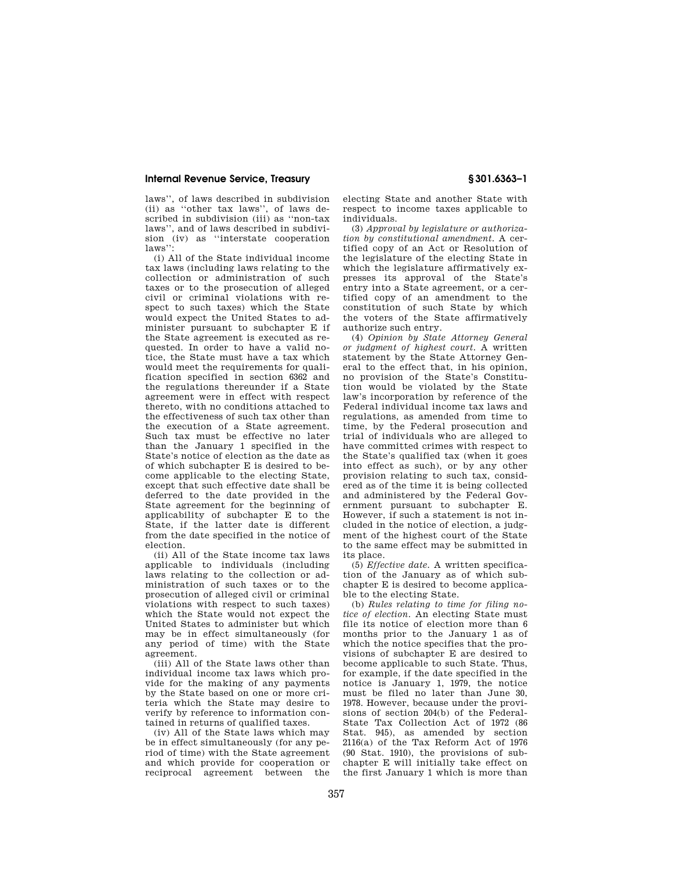## **Internal Revenue Service, Treasury § 301.6363–1**

laws'', of laws described in subdivision (ii) as ''other tax laws'', of laws described in subdivision (iii) as ''non-tax laws'', and of laws described in subdivision (iv) as ''interstate cooperation laws'

(i) All of the State individual income tax laws (including laws relating to the collection or administration of such taxes or to the prosecution of alleged civil or criminal violations with respect to such taxes) which the State would expect the United States to administer pursuant to subchapter E if the State agreement is executed as requested. In order to have a valid notice, the State must have a tax which would meet the requirements for qualification specified in section 6362 and the regulations thereunder if a State agreement were in effect with respect thereto, with no conditions attached to the effectiveness of such tax other than the execution of a State agreement. Such tax must be effective no later than the January 1 specified in the State's notice of election as the date as of which subchapter E is desired to become applicable to the electing State, except that such effective date shall be deferred to the date provided in the State agreement for the beginning of applicability of subchapter E to the State, if the latter date is different from the date specified in the notice of election.

(ii) All of the State income tax laws applicable to individuals (including laws relating to the collection or administration of such taxes or to the prosecution of alleged civil or criminal violations with respect to such taxes) which the State would not expect the United States to administer but which may be in effect simultaneously (for any period of time) with the State agreement.

(iii) All of the State laws other than individual income tax laws which provide for the making of any payments by the State based on one or more criteria which the State may desire to verify by reference to information contained in returns of qualified taxes.

(iv) All of the State laws which may be in effect simultaneously (for any period of time) with the State agreement and which provide for cooperation or reciprocal agreement between the electing State and another State with respect to income taxes applicable to individuals.

(3) *Approval by legislature or authorization by constitutional amendment.* A certified copy of an Act or Resolution of the legislature of the electing State in which the legislature affirmatively expresses its approval of the State's entry into a State agreement, or a certified copy of an amendment to the constitution of such State by which the voters of the State affirmatively authorize such entry.

(4) *Opinion by State Attorney General or judgment of highest court.* A written statement by the State Attorney General to the effect that, in his opinion, no provision of the State's Constitution would be violated by the State law's incorporation by reference of the Federal individual income tax laws and regulations, as amended from time to time, by the Federal prosecution and trial of individuals who are alleged to have committed crimes with respect to the State's qualified tax (when it goes into effect as such), or by any other provision relating to such tax, considered as of the time it is being collected and administered by the Federal Government pursuant to subchapter E. However, if such a statement is not included in the notice of election, a judgment of the highest court of the State to the same effect may be submitted in its place.

(5) *Effective date.* A written specification of the January as of which subchapter E is desired to become applicable to the electing State.

(b) *Rules relating to time for filing notice of election.* An electing State must file its notice of election more than 6 months prior to the January 1 as of which the notice specifies that the provisions of subchapter E are desired to become applicable to such State. Thus, for example, if the date specified in the notice is January 1, 1979, the notice must be filed no later than June 30, 1978. However, because under the provisions of section 204(b) of the Federal-State Tax Collection Act of 1972 (86 Stat. 945), as amended by section 2116(a) of the Tax Reform Act of 1976 (90 Stat. 1910), the provisions of subchapter E will initially take effect on the first January 1 which is more than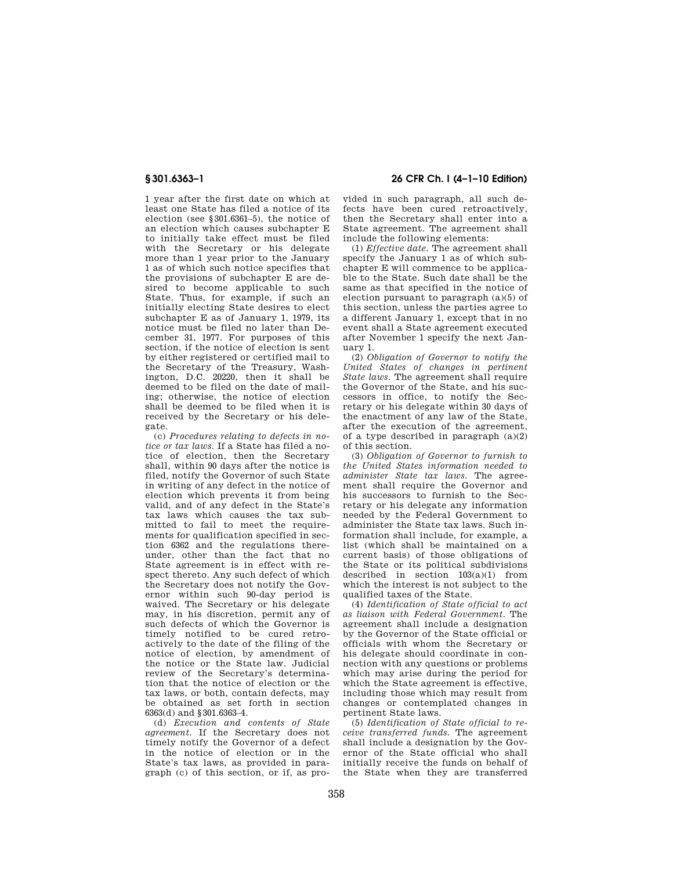1 year after the first date on which at least one State has filed a notice of its election (see §301.6361–5), the notice of an election which causes subchapter E to initially take effect must be filed with the Secretary or his delegate more than 1 year prior to the January 1 as of which such notice specifies that the provisions of subchapter E are desired to become applicable to such State. Thus, for example, if such an initially electing State desires to elect subchapter E as of January 1, 1979, its notice must be filed no later than December 31, 1977. For purposes of this section, if the notice of election is sent by either registered or certified mail to the Secretary of the Treasury, Washington, D.C. 20220, then it shall be deemed to be filed on the date of mailing; otherwise, the notice of election shall be deemed to be filed when it is received by the Secretary or his delegate.

(c) *Procedures relating to defects in notice or tax laws.* If a State has filed a notice of election, then the Secretary shall, within 90 days after the notice is filed, notify the Governor of such State in writing of any defect in the notice of election which prevents it from being valid, and of any defect in the State's tax laws which causes the tax submitted to fail to meet the requirements for qualification specified in section 6362 and the regulations thereunder, other than the fact that no State agreement is in effect with respect thereto. Any such defect of which the Secretary does not notify the Governor within such 90-day period is waived. The Secretary or his delegate may, in his discretion, permit any of such defects of which the Governor is timely notified to be cured retroactively to the date of the filing of the notice of election, by amendment of the notice or the State law. Judicial review of the Secretary's determination that the notice of election or the tax laws, or both, contain defects, may be obtained as set forth in section 6363(d) and §301.6363–4.

(d) *Execution and contents of State agreement.* If the Secretary does not timely notify the Governor of a defect in the notice of election or in the State's tax laws, as provided in paragraph (c) of this section, or if, as pro-

**§ 301.6363–1 26 CFR Ch. I (4–1–10 Edition)** 

vided in such paragraph, all such defects have been cured retroactively, then the Secretary shall enter into a State agreement. The agreement shall include the following elements:

(1) *Effective date.* The agreement shall specify the January 1 as of which subchapter E will commence to be applicable to the State. Such date shall be the same as that specified in the notice of election pursuant to paragraph (a)(5) of this section, unless the parties agree to a different January 1, except that in no event shall a State agreement executed after November 1 specify the next January 1.

(2) *Obligation of Governor to notify the United States of changes in pertinent State laws.* The agreement shall require the Governor of the State, and his successors in office, to notify the Secretary or his delegate within 30 days of the enactment of any law of the State, after the execution of the agreement, of a type described in paragraph (a)(2) of this section.

(3) *Obligation of Governor to furnish to the United States information needed to administer State tax laws.* The agreement shall require the Governor and his successors to furnish to the Secretary or his delegate any information needed by the Federal Government to administer the State tax laws. Such information shall include, for example, a list (which shall be maintained on a current basis) of those obligations of the State or its political subdivisions described in section  $103(a)(1)$  from which the interest is not subject to the qualified taxes of the State.

(4) *Identification of State official to act as liaison with Federal Government.* The agreement shall include a designation by the Governor of the State official or officials with whom the Secretary or his delegate should coordinate in connection with any questions or problems which may arise during the period for which the State agreement is effective, including those which may result from changes or contemplated changes in pertinent State laws.

(5) *Identification of State official to receive transferred funds.* The agreement shall include a designation by the Governor of the State official who shall initially receive the funds on behalf of the State when they are transferred